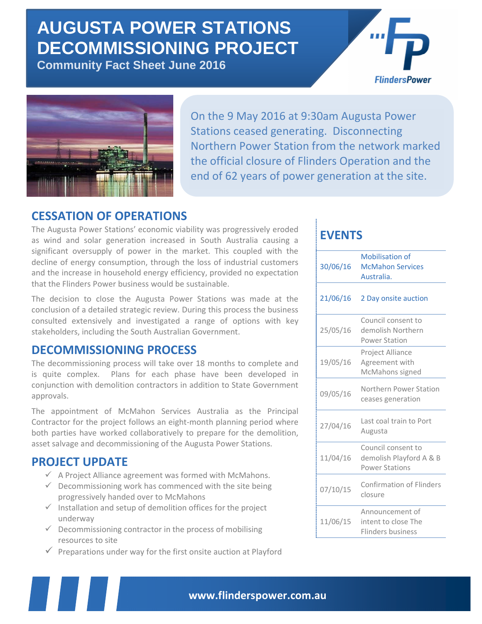# **AUGUSTA POWER STATIONS DECOMMISSIONING PROJECT**

**Community Fact Sheet June 2016**





On the 9 May 2016 at 9:30am Augusta Power Stations ceased generating. Disconnecting Northern Power Station from the network marked the official closure of Flinders Operation and the end of 62 years of power generation at the site.

# **CESSATION OF OPERATIONS**

The Augusta Power Stations' economic viability was progressively eroded as wind and solar generation increased in South Australia causing a significant oversupply of power in the market. This coupled with the decline of energy consumption, through the loss of industrial customers and the increase in household energy efficiency, provided no expectation that the Flinders Power business would be sustainable.

The decision to close the Augusta Power Stations was made at the conclusion of a detailed strategic review. During this process the business consulted extensively and investigated a range of options with key stakeholders, including the South Australian Government.

# **DECOMMISSIONING PROCESS**

The decommissioning process will take over 18 months to complete and is quite complex. Plans for each phase have been developed in conjunction with demolition contractors in addition to State Government approvals.

The appointment of McMahon Services Australia as the Principal Contractor for the project follows an eight-month planning period where both parties have worked collaboratively to prepare for the demolition, asset salvage and decommissioning of the Augusta Power Stations.

# **PROJECT UPDATE**

- $\checkmark$  A Project Alliance agreement was formed with McMahons.
- $\checkmark$  Decommissioning work has commenced with the site being progressively handed over to McMahons
- $\checkmark$  Installation and setup of demolition offices for the project underway
- $\checkmark$  Decommissioning contractor in the process of mobilising resources to site
- $\checkmark$  Preparations under way for the first onsite auction at Playford

# **EVENTS**

| 30/06/16 | <b>Mobilisation of</b><br><b>McMahon Services</b><br>Australia.        |
|----------|------------------------------------------------------------------------|
| 21/06/16 | 2 Day onsite auction                                                   |
| 25/05/16 | Council consent to<br>demolish Northern<br><b>Power Station</b>        |
| 19/05/16 | Project Alliance<br>Agreement with<br>McMahons signed                  |
| 09/05/16 | Northern Power Station<br>ceases generation                            |
| 27/04/16 | Last coal train to Port<br>Augusta                                     |
| 11/04/16 | Council consent to<br>demolish Playford A & B<br><b>Power Stations</b> |
| 07/10/15 | <b>Confirmation of Flinders</b><br>closure                             |
| 11/06/15 | Announcement of<br>intent to close The<br><b>Flinders business</b>     |